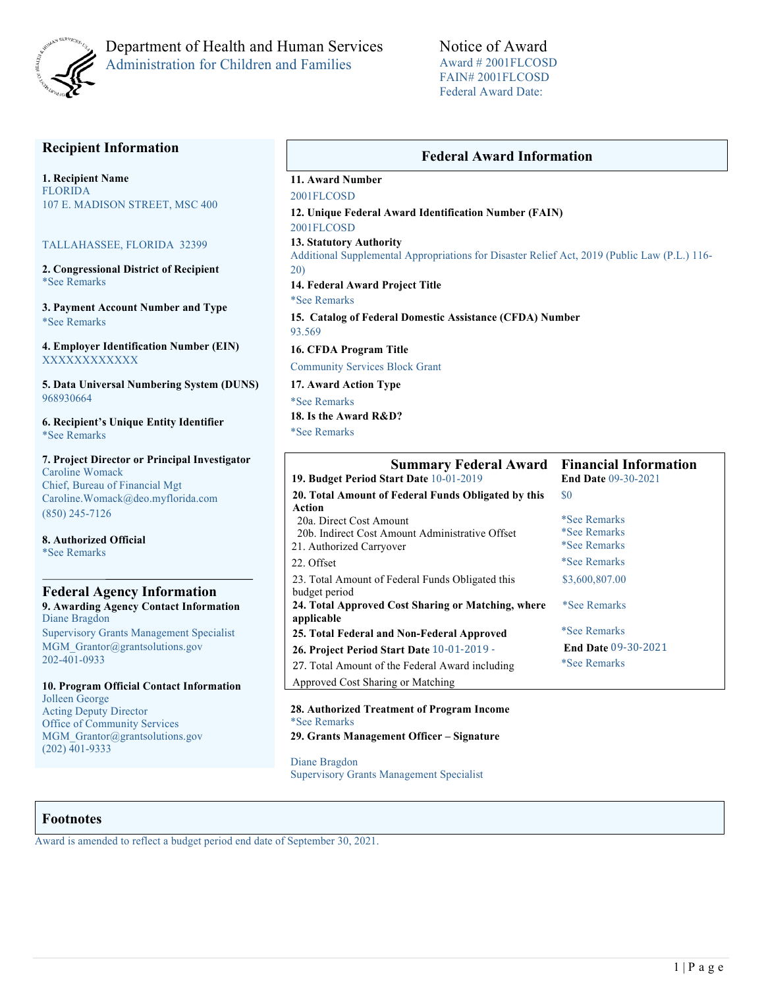

## Department of Health and Human Services Administration for Children and Families

Notice of Award Award # 2001FLCOSD FAIN# 2001FLCOSD Federal Award Date:

## **Recipient Information**

**1. Recipient Name** FLORIDA 107 E. MADISON STREET, MSC 400

#### TALLAHASSEE, FLORIDA 32399

**2. Congressional District of Recipient**  \*See Remarks

**3. Payment Account Number and Type** \*See Remarks

**4. Employer Identification Number (EIN)** XXXXXXXXXXXX

**5. Data Universal Numbering System (DUNS)**  968930664

**6. Recipient's Unique Entity Identifier**  \*See Remarks

**7. Project Director or Principal Investigator**  Caroline Womack Chief, Bureau of Financial Mgt Caroline.Womack@deo.myflorida.com (850) 245-7126

**8. Authorized Official**  \*See Remarks

#### **Federal Agency Information 9. Awarding Agency Contact Information** Diane Bragdon

Supervisory Grants Management Specialist MGM Grantor@grantsolutions.gov 202-401-0933

#### **10. Program Official Contact Information** Jolleen George

Acting Deputy Director Office of Community Services MGM Grantor@grantsolutions.gov  $(202)\overline{401} - 9333$ 

### **Federal Award Information**

## **11. Award Number**

2001FLCOSD **12. Unique Federal Award Identification Number (FAIN)**  2001FLCOSD **13. Statutory Authority** 

Additional Supplemental Appropriations for Disaster Relief Act, 2019 (Public Law (P.L.) 116- 20)

**14. Federal Award Project Title** 

\*See Remarks **15. Catalog of Federal Domestic Assistance (CFDA) Number** 

93.569

**16. CFDA Program Title** 

Community Services Block Grant

**17. Award Action Type**  \*See Remarks **18. Is the Award R&D?** 

\*See Remarks

| <b>Summary Federal Award</b><br>19. Budget Period Start Date 10-01-2019 | <b>Financial Information</b><br><b>End Date 09-30-2021</b> |  |  |
|-------------------------------------------------------------------------|------------------------------------------------------------|--|--|
| 20. Total Amount of Federal Funds Obligated by this                     | \$0                                                        |  |  |
| Action                                                                  |                                                            |  |  |
| 20a. Direct Cost Amount                                                 | *See Remarks                                               |  |  |
| 20b. Indirect Cost Amount Administrative Offset                         | <i>*See Remarks</i>                                        |  |  |
| 21. Authorized Carryover                                                | <i>*See Remarks</i>                                        |  |  |
| 22. Offset                                                              | *See Remarks                                               |  |  |
| 23. Total Amount of Federal Funds Obligated this<br>budget period       | \$3,600,807.00                                             |  |  |
| 24. Total Approved Cost Sharing or Matching, where<br>applicable        | <i>*See Remarks</i>                                        |  |  |
| 25. Total Federal and Non-Federal Approved                              | <i>*See Remarks</i>                                        |  |  |
| 26. Project Period Start Date 10-01-2019 -                              | <b>End Date 09-30-2021</b>                                 |  |  |
| 27. Total Amount of the Federal Award including                         | *See Remarks                                               |  |  |
| Approved Cost Sharing or Matching                                       |                                                            |  |  |

#### **28. Authorized Treatment of Program Income**  \*See Remarks **29. Grants Management Officer – Signature**

Diane Bragdon

Supervisory Grants Management Specialist

### **Footnotes**

Award is amended to reflect a budget period end date of September 30, 2021.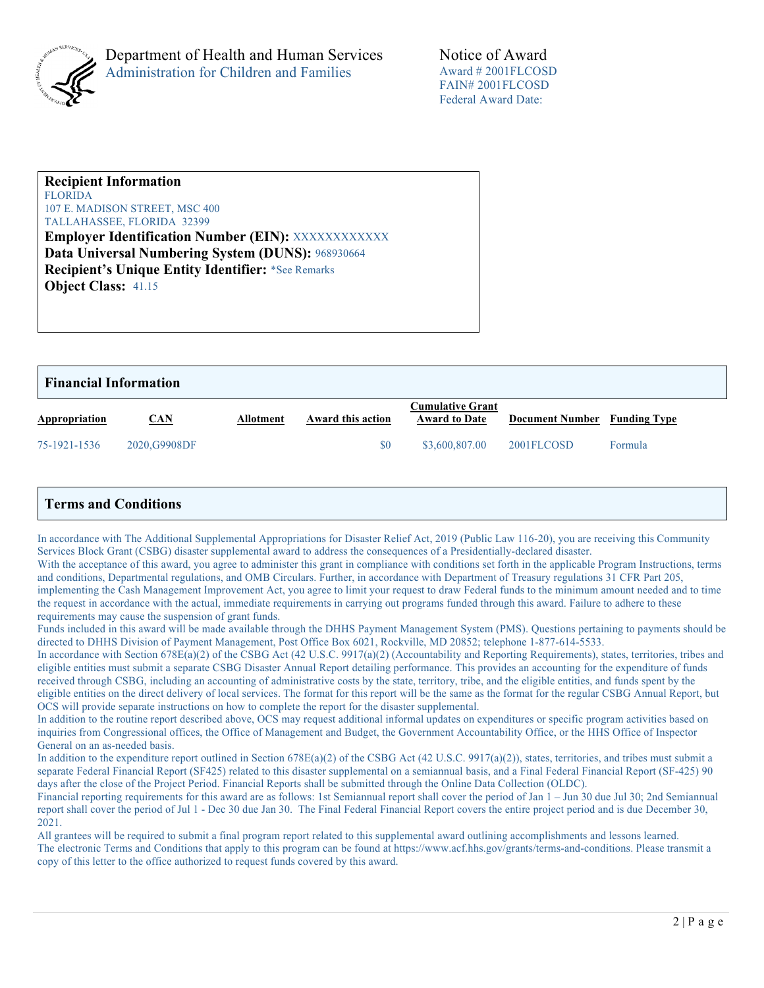

# **Recipient Information**

FLORIDA 107 E. MADISON STREET, MSC 400 TALLAHASSEE, FLORIDA 32399

**Employer Identification Number (EIN):** XXXXXXXXXXXX **Data Universal Numbering System (DUNS):** 968930664 **Recipient's Unique Entity Identifier:** \*See Remarks **Object Class:** 41.15

| <b>Financial Information</b> |               |           |                   |                                                 |                              |         |  |
|------------------------------|---------------|-----------|-------------------|-------------------------------------------------|------------------------------|---------|--|
| Appropriation                | <b>CAN</b>    | Allotment | Award this action | <b>Cumulative Grant</b><br><b>Award to Date</b> | Document Number Funding Type |         |  |
| 75-1921-1536                 | 2020, G9908DF |           | \$0               | \$3,600,807.00                                  | 2001FLCOSD                   | Formula |  |

## **Terms and Conditions**

In accordance with The Additional Supplemental Appropriations for Disaster Relief Act, 2019 (Public Law 116-20), you are receiving this Community Services Block Grant (CSBG) disaster supplemental award to address the consequences of a Presidentially-declared disaster.

With the acceptance of this award, you agree to administer this grant in compliance with conditions set forth in the applicable Program Instructions, terms and conditions, Departmental regulations, and OMB Circulars. Further, in accordance with Department of Treasury regulations 31 CFR Part 205, implementing the Cash Management Improvement Act, you agree to limit your request to draw Federal funds to the minimum amount needed and to time the request in accordance with the actual, immediate requirements in carrying out programs funded through this award. Failure to adhere to these requirements may cause the suspension of grant funds.

Funds included in this award will be made available through the DHHS Payment Management System (PMS). Questions pertaining to payments should be directed to DHHS Division of Payment Management, Post Office Box 6021, Rockville, MD 20852; telephone 1-877-614-5533.

In accordance with Section 678E(a)(2) of the CSBG Act (42 U.S.C. 9917(a)(2) (Accountability and Reporting Requirements), states, territories, tribes and eligible entities must submit a separate CSBG Disaster Annual Report detailing performance. This provides an accounting for the expenditure of funds received through CSBG, including an accounting of administrative costs by the state, territory, tribe, and the eligible entities, and funds spent by the eligible entities on the direct delivery of local services. The format for this report will be the same as the format for the regular CSBG Annual Report, but OCS will provide separate instructions on how to complete the report for the disaster supplemental.

In addition to the routine report described above, OCS may request additional informal updates on expenditures or specific program activities based on inquiries from Congressional offices, the Office of Management and Budget, the Government Accountability Office, or the HHS Office of Inspector General on an as-needed basis.

In addition to the expenditure report outlined in Section 678E(a)(2) of the CSBG Act (42 U.S.C. 9917(a)(2)), states, territories, and tribes must submit a separate Federal Financial Report (SF425) related to this disaster supplemental on a semiannual basis, and a Final Federal Financial Report (SF-425) 90 days after the close of the Project Period. Financial Reports shall be submitted through the Online Data Collection (OLDC).

Financial reporting requirements for this award are as follows: 1st Semiannual report shall cover the period of Jan 1 – Jun 30 due Jul 30; 2nd Semiannual report shall cover the period of Jul 1 - Dec 30 due Jan 30. The Final Federal Financial Report covers the entire project period and is due December 30, 2021.

All grantees will be required to submit a final program report related to this supplemental award outlining accomplishments and lessons learned. The electronic Terms and Conditions that apply to this program can be found at https://www.acf.hhs.gov/grants/terms-and-conditions. Please transmit a copy of this letter to the office authorized to request funds covered by this award.